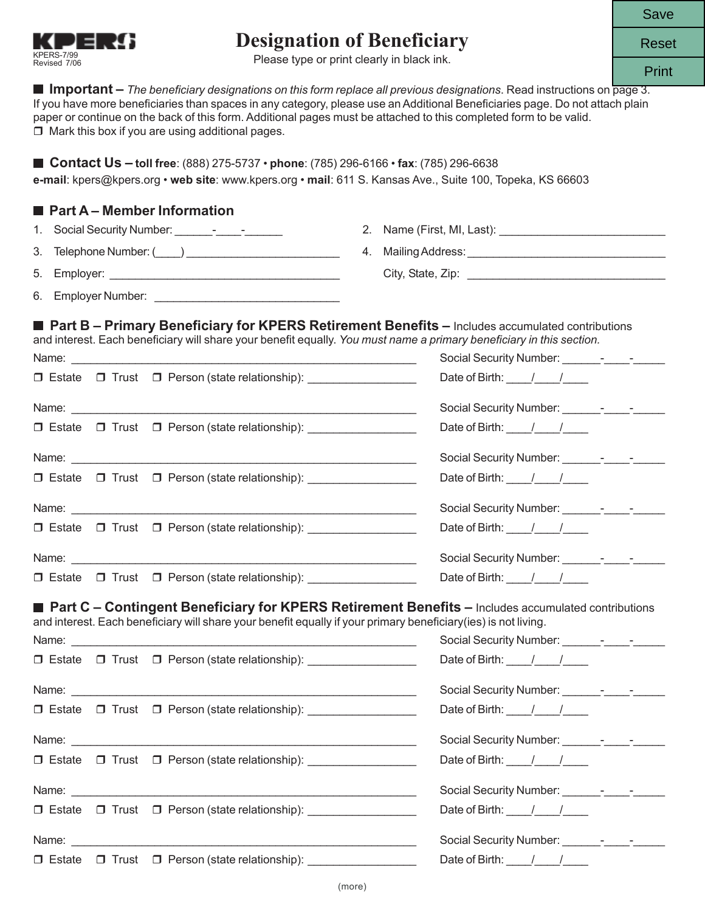

 $\Box$  Mark this box if you are using additional pages.

# **Designation of Beneficiary**

 **Important –** *The beneficiary designations on this form replace all previous designations*. Read instructions on page 3. If you have more beneficiaries than spaces in any category, please use an Additional Beneficiaries page. Do not attach plain

paper or continue on the back of this form. Additional pages must be attached to this completed form to be valid.

Please type or print clearly in black ink.

Reset Print

| ■ Contact Us - toll free: (888) 275-5737 • phone: (785) 296-6166 • fax: (785) 296-6638<br>e-mail: kpers@kpers.org • web site: www.kpers.org • mail: 611 S. Kansas Ave., Suite 100, Topeka, KS 66603                            |                                                                                                                                                                                                                                                                                                                                                                                                          |
|--------------------------------------------------------------------------------------------------------------------------------------------------------------------------------------------------------------------------------|----------------------------------------------------------------------------------------------------------------------------------------------------------------------------------------------------------------------------------------------------------------------------------------------------------------------------------------------------------------------------------------------------------|
| <b>Part A - Member Information</b>                                                                                                                                                                                             |                                                                                                                                                                                                                                                                                                                                                                                                          |
| 1.                                                                                                                                                                                                                             |                                                                                                                                                                                                                                                                                                                                                                                                          |
| 3.                                                                                                                                                                                                                             |                                                                                                                                                                                                                                                                                                                                                                                                          |
| 5.                                                                                                                                                                                                                             |                                                                                                                                                                                                                                                                                                                                                                                                          |
|                                                                                                                                                                                                                                |                                                                                                                                                                                                                                                                                                                                                                                                          |
| and interest. Each beneficiary will share your benefit equally. You must name a primary beneficiary in this section.                                                                                                           | ■ Part B - Primary Beneficiary for KPERS Retirement Benefits - Includes accumulated contributions                                                                                                                                                                                                                                                                                                        |
|                                                                                                                                                                                                                                |                                                                                                                                                                                                                                                                                                                                                                                                          |
| □ Estate □ Trust □ Person (state relationship): _________________                                                                                                                                                              | Date of Birth: $\frac{1}{\sqrt{2}}$                                                                                                                                                                                                                                                                                                                                                                      |
|                                                                                                                                                                                                                                |                                                                                                                                                                                                                                                                                                                                                                                                          |
| □ Estate □ Trust □ Person (state relationship): _______________                                                                                                                                                                | Date of Birth: $\frac{1}{\sqrt{2}}$                                                                                                                                                                                                                                                                                                                                                                      |
|                                                                                                                                                                                                                                |                                                                                                                                                                                                                                                                                                                                                                                                          |
| □ Estate □ Trust □ Person (state relationship): _______________                                                                                                                                                                | Date of Birth: $\frac{1}{\sqrt{1-\frac{1}{2}}}$                                                                                                                                                                                                                                                                                                                                                          |
|                                                                                                                                                                                                                                |                                                                                                                                                                                                                                                                                                                                                                                                          |
| □ Estate □ Trust □ Person (state relationship): __________________                                                                                                                                                             | Date of Birth: $\frac{1}{\sqrt{1-\frac{1}{2}}}$                                                                                                                                                                                                                                                                                                                                                          |
|                                                                                                                                                                                                                                |                                                                                                                                                                                                                                                                                                                                                                                                          |
| □ Estate □ Trust □ Person (state relationship): ________________________________                                                                                                                                               | Date of Birth: $\frac{1}{1-\frac{1}{1-\frac{1}{1-\frac{1}{1-\frac{1}{1-\frac{1}{1-\frac{1}{1-\frac{1}{1-\frac{1}{1-\frac{1}{1-\frac{1}{1-\frac{1}{1-\frac{1}{1-\frac{1}{1-\frac{1}{1-\frac{1}{1-\frac{1}{1-\frac{1}{1-\frac{1}{1-\frac{1}{1-\frac{1}{1-\frac{1}{1-\frac{1}{1-\frac{1}{1-\frac{1}{1-\frac{1}{1-\frac{1}{1-\frac{1}{1-\frac{1}{1-\frac{1}{1-\frac{1}{1-\frac{1}{1-\frac{1}{1-\frac{1}{1-\$ |
| and interest. Each beneficiary will share your benefit equally if your primary beneficiary(ies) is not living.                                                                                                                 | <b><math>\blacksquare</math> Part C</b> – Contingent Beneficiary for KPERS Retirement Benefits – Includes accumulated contributions                                                                                                                                                                                                                                                                      |
| Name: 2008. Contract and 2008. Contract and 2008. Contract and 2008. Contract and 2008. Contract and 2008. Contract and 2008. Contract and 2008. Contract and 2008. Contract and 2008. Contract and 2008. Contract and 2008. C |                                                                                                                                                                                                                                                                                                                                                                                                          |
| $\Box$ Estate $\Box$ Trust $\Box$ Person (state relationship):                                                                                                                                                                 | Date of Birth: $\frac{1}{1-\frac{1}{1-\frac{1}{1-\frac{1}{1-\frac{1}{1-\frac{1}{1-\frac{1}{1-\frac{1}{1-\frac{1}{1-\frac{1}{1-\frac{1}{1-\frac{1}{1-\frac{1}{1-\frac{1}{1-\frac{1}{1-\frac{1}{1-\frac{1}{1-\frac{1}{1-\frac{1}{1-\frac{1}{1-\frac{1}{1-\frac{1}{1-\frac{1}{1-\frac{1}{1-\frac{1}{1-\frac{1}{1-\frac{1}{1-\frac{1}{1-\frac{1}{1-\frac{1}{1-\frac{1}{1-\frac{1}{1-\frac{1}{1-\frac{1}{1-\$ |
|                                                                                                                                                                                                                                |                                                                                                                                                                                                                                                                                                                                                                                                          |
| □ Estate □ Trust □ Person (state relationship): ________________________________                                                                                                                                               | Date of Birth: / /                                                                                                                                                                                                                                                                                                                                                                                       |
|                                                                                                                                                                                                                                |                                                                                                                                                                                                                                                                                                                                                                                                          |
| □ Estate □ Trust □ Person (state relationship): __________________                                                                                                                                                             | Date of Birth: $\frac{1}{\sqrt{2}}$                                                                                                                                                                                                                                                                                                                                                                      |
|                                                                                                                                                                                                                                |                                                                                                                                                                                                                                                                                                                                                                                                          |
| □ Estate □ Trust □ Person (state relationship): ___________________                                                                                                                                                            | Date of Birth: $\frac{1}{\sqrt{2}}$                                                                                                                                                                                                                                                                                                                                                                      |
|                                                                                                                                                                                                                                |                                                                                                                                                                                                                                                                                                                                                                                                          |
| □ Estate □ Trust □ Person (state relationship): ________________                                                                                                                                                               | Date of Birth: $\frac{1}{\sqrt{2}}$                                                                                                                                                                                                                                                                                                                                                                      |
|                                                                                                                                                                                                                                | (more)                                                                                                                                                                                                                                                                                                                                                                                                   |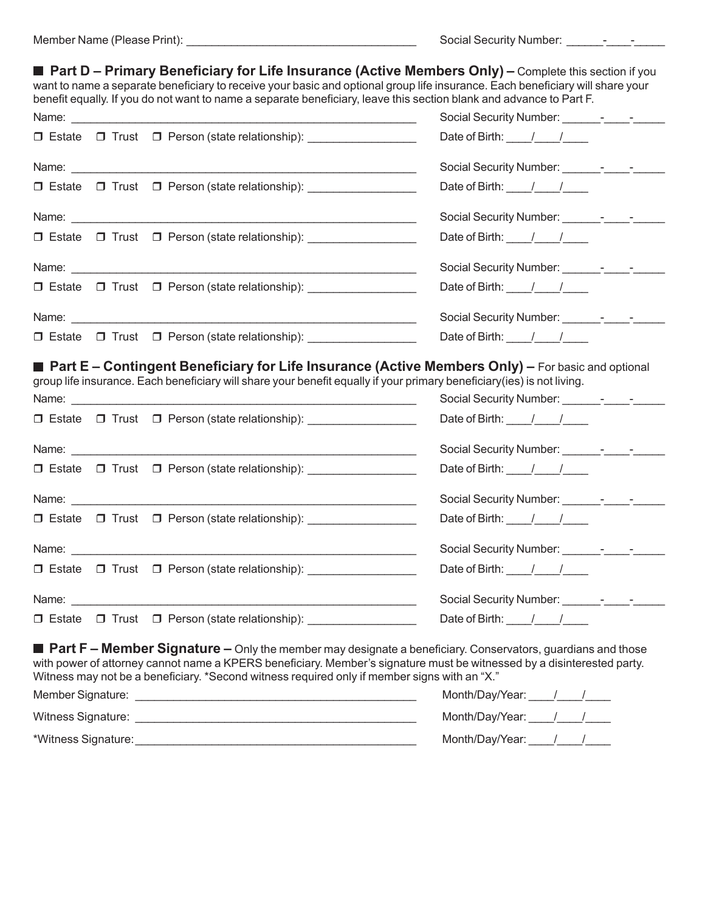|       | benefit equally. If you do not want to name a separate beneficiary, leave this section blank and advance to Part F.    | ■ Part D – Primary Beneficiary for Life Insurance (Active Members Only) – Complete this section if you<br>want to name a separate beneficiary to receive your basic and optional group life insurance. Each beneficiary will share your                                                                                                                                                                  |
|-------|------------------------------------------------------------------------------------------------------------------------|----------------------------------------------------------------------------------------------------------------------------------------------------------------------------------------------------------------------------------------------------------------------------------------------------------------------------------------------------------------------------------------------------------|
|       |                                                                                                                        |                                                                                                                                                                                                                                                                                                                                                                                                          |
|       | □ Estate □ Trust □ Person (state relationship): _________________                                                      | Date of Birth: / /                                                                                                                                                                                                                                                                                                                                                                                       |
|       |                                                                                                                        |                                                                                                                                                                                                                                                                                                                                                                                                          |
|       | □ Estate □ Trust □ Person (state relationship): ________________                                                       | Date of Birth: $\frac{1}{\sqrt{2}}$                                                                                                                                                                                                                                                                                                                                                                      |
|       |                                                                                                                        |                                                                                                                                                                                                                                                                                                                                                                                                          |
|       | □ Estate □ Trust □ Person (state relationship): ________________                                                       | Date of Birth: $\frac{1}{\sqrt{1-\frac{1}{2}}}$                                                                                                                                                                                                                                                                                                                                                          |
|       |                                                                                                                        |                                                                                                                                                                                                                                                                                                                                                                                                          |
|       | □ Estate □ Trust □ Person (state relationship): ________________________________                                       | Date of Birth: $\frac{1}{\sqrt{1-\frac{1}{2}}}$                                                                                                                                                                                                                                                                                                                                                          |
|       |                                                                                                                        |                                                                                                                                                                                                                                                                                                                                                                                                          |
|       | □ Estate □ Trust □ Person (state relationship): _________________                                                      | Date of Birth: $\frac{1}{\sqrt{1-\frac{1}{2}}}$                                                                                                                                                                                                                                                                                                                                                          |
|       | group life insurance. Each beneficiary will share your benefit equally if your primary beneficiary(ies) is not living. | ■ Part E – Contingent Beneficiary for Life Insurance (Active Members Only) – For basic and optional                                                                                                                                                                                                                                                                                                      |
|       | □ Estate □ Trust □ Person (state relationship): ________________________________                                       | Date of Birth: $\frac{1}{\sqrt{1-\frac{1}{2}}}$                                                                                                                                                                                                                                                                                                                                                          |
|       |                                                                                                                        |                                                                                                                                                                                                                                                                                                                                                                                                          |
|       | □ Estate □ Trust □ Person (state relationship): _______________                                                        | Date of Birth: $\frac{1}{\sqrt{1-\frac{1}{2}}}$                                                                                                                                                                                                                                                                                                                                                          |
|       |                                                                                                                        |                                                                                                                                                                                                                                                                                                                                                                                                          |
|       | □ Estate □ Trust □ Person (state relationship): _________________                                                      | Date of Birth: $\frac{1}{1-\frac{1}{1-\frac{1}{1-\frac{1}{1-\frac{1}{1-\frac{1}{1-\frac{1}{1-\frac{1}{1-\frac{1}{1-\frac{1}{1-\frac{1}{1-\frac{1}{1-\frac{1}{1-\frac{1}{1-\frac{1}{1-\frac{1}{1-\frac{1}{1-\frac{1}{1-\frac{1}{1-\frac{1}{1-\frac{1}{1-\frac{1}{1-\frac{1}{1-\frac{1}{1-\frac{1}{1-\frac{1}{1-\frac{1}{1-\frac{1}{1-\frac{1}{1-\frac{1}{1-\frac{1}{1-\frac{1}{1-\frac{1}{1-\frac{1}{1-\$ |
|       |                                                                                                                        |                                                                                                                                                                                                                                                                                                                                                                                                          |
|       | □ Estate □ Trust □ Person (state relationship): __________                                                             | Date of Birth: $\frac{1}{\sqrt{2}}$                                                                                                                                                                                                                                                                                                                                                                      |
| Name: | <u> 1989 - Johann Harry Harry Harry Harry Harry Harry Harry Harry Harry Harry Harry Harry Harry Harry Harry Harry</u>  | Social Security Number: The Contract of the Social Security Number:                                                                                                                                                                                                                                                                                                                                      |
|       | □ Estate □ Trust □ Person (state relationship):                                                                        | Date of Birth: $\frac{1}{1-\frac{1}{1-\frac{1}{1-\frac{1}{1-\frac{1}{1-\frac{1}{1-\frac{1}{1-\frac{1}{1-\frac{1}{1-\frac{1}{1-\frac{1}{1-\frac{1}{1-\frac{1}{1-\frac{1}{1-\frac{1}{1-\frac{1}{1-\frac{1}{1-\frac{1}{1-\frac{1}{1-\frac{1}{1-\frac{1}{1-\frac{1}{1-\frac{1}{1-\frac{1}{1-\frac{1}{1-\frac{1}{1-\frac{1}{1-\frac{1}{1-\frac{1}{1-\frac{1}{1-\frac{1}{1-\frac{1}{1-\frac{1}{1-\frac{1}{1-\$ |
|       | Witness may not be a beneficiary. *Second witness required only if member signs with an "X."                           | <b><math>\blacksquare</math> Part F – Member Signature –</b> Only the member may designate a beneficiary. Conservators, guardians and those<br>with power of attorney cannot name a KPERS beneficiary. Member's signature must be witnessed by a disinterested party.<br>Month/Day/Year: //////                                                                                                          |
|       |                                                                                                                        |                                                                                                                                                                                                                                                                                                                                                                                                          |

| ivierriber Signature. | <u>IVIUI III I/Dav/Teal.</u> |  |
|-----------------------|------------------------------|--|
| Witness Signature:    | Month/Day/Year:              |  |
| *Witness Signature:   | Month/Day/Year:              |  |
|                       |                              |  |